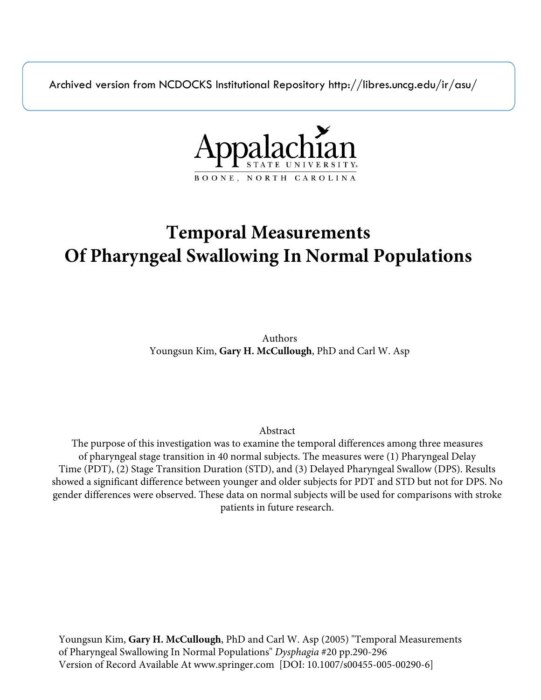Archived version from NCDOCKS Institutional Repository http://libres.uncg.edu/ir/asu/



# **Temporal Measurements Of Pharyngeal Swallowing In Normal Populations**

Authors Youngsun Kim, **Gary H. McCullough**, PhD and Carl W. Asp

Abstract

The purpose of this investigation was to examine the temporal differences among three measures of pharyngeal stage transition in 40 normal subjects. The measures were (1) Pharyngeal Delay Time (PDT), (2) Stage Transition Duration (STD), and (3) Delayed Pharyngeal Swallow (DPS). Results showed a significant difference between younger and older subjects for PDT and STD but not for DPS. No gender differences were observed. These data on normal subjects will be used for comparisons with stroke patients in future research.

Youngsun Kim, **Gary H. McCullough**, PhD and Carl W. Asp (2005) "Temporal Measurements of Pharyngeal Swallowing In Normal Populations" *Dysphagia* #20 pp.290-296 Version of Record Available At www.springer.com [DOI: 10.1007/s00455-005-00290-6]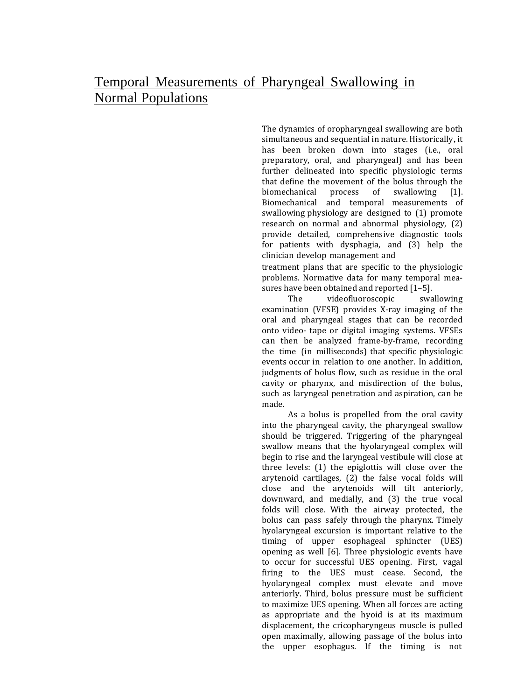The dynamics of oropharyngeal swallowing are both simultaneous and sequential in nature. Historically, it has been broken down into stages (i.e., oral preparatory, oral, and pharyngeal) and has been further delineated into specific physiologic terms that define the movement of the bolus through the biomechanical process of swallowing [1]. Biomechanical and temporal measurements of swallowing physiology are designed to (1) promote research on normal and abnormal physiology, (2) provide detailed, comprehensive diagnostic tools for patients with dysphagia, and (3) help the clinician develop management and

treatment plans that are specific to the physiologic problems. Normative data for many temporal measures have been obtained and reported [1–5].

The videofluoroscopic swallowing examination (VFSE) provides X-ray imaging of the oral and pharyngeal stages that can be recorded onto video- tape or digital imaging systems. VFSEs can then be analyzed frame-by-frame, recording the time (in milliseconds) that specific physiologic events occur in relation to one another. In addition, judgments of bolus flow, such as residue in the oral cavity or pharynx, and misdirection of the bolus, such as laryngeal penetration and aspiration, can be made.

As a bolus is propelled from the oral cavity into the pharyngeal cavity, the pharyngeal swallow should be triggered. Triggering of the pharyngeal swallow means that the hyolaryngeal complex will begin to rise and the laryngeal vestibule will close at three levels: (1) the epiglottis will close over the arytenoid cartilages, (2) the false vocal folds will close and the arytenoids will tilt anteriorly, downward, and medially, and (3) the true vocal folds will close. With the airway protected, the bolus can pass safely through the pharynx. Timely hyolaryngeal excursion is important relative to the timing of upper esophageal sphincter (UES) opening as well [6]. Three physiologic events have to occur for successful UES opening. First, vagal firing to the UES must cease. Second, the hyolaryngeal complex must elevate and move anteriorly. Third, bolus pressure must be sufficient to maximize UES opening. When all forces are acting as appropriate and the hyoid is at its maximum displacement, the cricopharyngeus muscle is pulled open maximally, allowing passage of the bolus into the upper esophagus. If the timing is not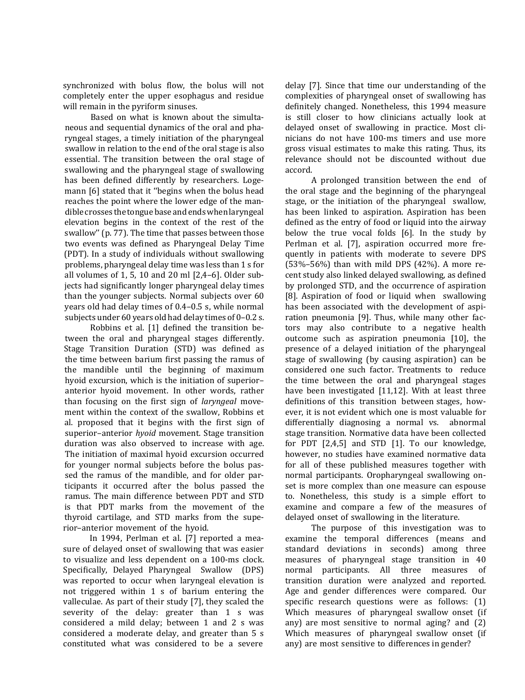synchronized with bolus flow, the bolus will not completely enter the upper esophagus and residue will remain in the pyriform sinuses.

Based on what is known about the simultaneous and sequential dynamics of the oral and pharyngeal stages, a timely initiation of the pharyngeal swallow in relation to the end of the oral stage is also essential. The transition between the oral stage of swallowing and the pharyngeal stage of swallowing has been defined differently by researchers. Logemann [6] stated that it ''begins when the bolus head reaches the point where the lower edge of the mandible crosses the tongue base and ends when laryngeal elevation begins in the context of the rest of the swallow'' (p. 77). The time that passes between those two events was defined as Pharyngeal Delay Time (PDT). In a study of individuals without swallowing problems, pharyngeal delay time was less than 1 s for all volumes of 1, 5, 10 and 20 ml [2,4–6]. Older subjects had significantly longer pharyngeal delay times than the younger subjects. Normal subjects over 60 years old had delay times of 0.4–0.5 s, while normal subjects under 60 years old had delay times of 0–0.2 s.

Robbins et al. [1] defined the transition between the oral and pharyngeal stages differently. Stage Transition Duration (STD) was defined as the time between barium first passing the ramus of the mandible until the beginning of maximum hyoid excursion, which is the initiation of superior– anterior hyoid movement. In other words, rather than focusing on the first sign of *laryngeal* movement within the context of the swallow, Robbins et al. proposed that it begins with the first sign of superior–anterior *hyoid* movement. Stage transition duration was also observed to increase with age. The initiation of maximal hyoid excursion occurred for younger normal subjects before the bolus passed the ramus of the mandible, and for older participants it occurred after the bolus passed the ramus. The main difference between PDT and STD is that PDT marks from the movement of the thyroid cartilage, and STD marks from the superior–anterior movement of the hyoid.

In 1994, Perlman et al. [7] reported a measure of delayed onset of swallowing that was easier to visualize and less dependent on a 100-ms clock. Specifically, Delayed Pharyngeal Swallow (DPS) was reported to occur when laryngeal elevation is not triggered within 1 s of barium entering the valleculae. As part of their study [7], they scaled the severity of the delay: greater than 1 s was considered a mild delay; between 1 and 2 s was considered a moderate delay, and greater than 5 s constituted what was considered to be a severe

delay [7]. Since that time our understanding of the complexities of pharyngeal onset of swallowing has definitely changed. Nonetheless, this 1994 measure is still closer to how clinicians actually look at delayed onset of swallowing in practice. Most clinicians do not have 100-ms timers and use more gross visual estimates to make this rating. Thus, its relevance should not be discounted without due accord.

A prolonged transition between the end of the oral stage and the beginning of the pharyngeal stage, or the initiation of the pharyngeal swallow, has been linked to aspiration. Aspiration has been defined as the entry of food or liquid into the airway below the true vocal folds [6]. In the study by Perlman et al. [7], aspiration occurred more frequently in patients with moderate to severe DPS (53%–56%) than with mild DPS (42%). A more recent study also linked delayed swallowing, as defined by prolonged STD, and the occurrence of aspiration [8]. Aspiration of food or liquid when swallowing has been associated with the development of aspiration pneumonia [9]. Thus, while many other factors may also contribute to a negative health outcome such as aspiration pneumonia [10], the presence of a delayed initiation of the pharyngeal stage of swallowing (by causing aspiration) can be considered one such factor. Treatments to reduce the time between the oral and pharyngeal stages have been investigated [11,12]. With at least three definitions of this transition between stages, however, it is not evident which one is most valuable for differentially diagnosing a normal vs. abnormal stage transition. Normative data have been collected for PDT [2,4,5] and STD [1]. To our knowledge, however, no studies have examined normative data for all of these published measures together with normal participants. Oropharyngeal swallowing onset is more complex than one measure can espouse to. Nonetheless, this study is a simple effort to examine and compare a few of the measures of delayed onset of swallowing in the literature.

The purpose of this investigation was to examine the temporal differences (means and standard deviations in seconds) among three measures of pharyngeal stage transition in 40 normal participants. All three measures of transition duration were analyzed and reported. Age and gender differences were compared. Our specific research questions were as follows: (1) Which measures of pharyngeal swallow onset (if any) are most sensitive to normal aging? and (2) Which measures of pharyngeal swallow onset (if any) are most sensitive to differences in gender?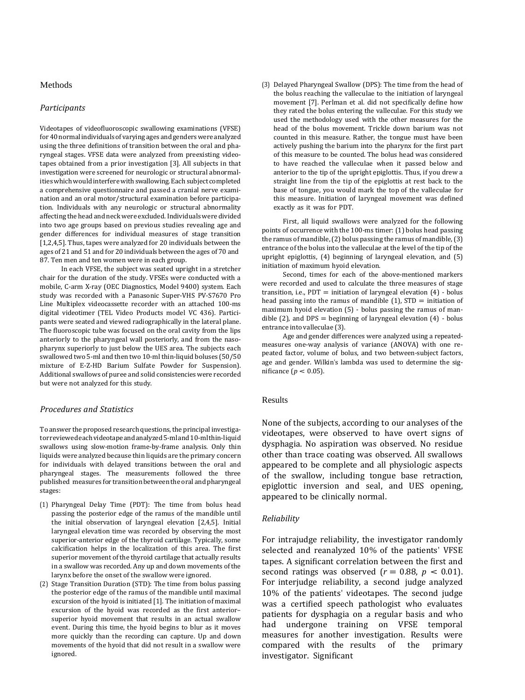#### Methods

# *Participants*

Videotapes of videofluoroscopic swallowing examinations (VFSE) for 40 normal individualsof varying ages and genders were analyzed using the three definitions of transition between the oral and pharyngeal stages. VFSE data were analyzed from preexisting videotapes obtained from a prior investigation [3]. All subjects in that investigation were screened for neurologic or structural abnormalities which would interfere with swallowing. Each subject completed a comprehensive questionnaire and passed a cranial nerve examination and an oral motor/structural examination before participation. Individuals with any neurologic or structural abnormality affecting the head and neck were excluded. Individuals were divided into two age groups based on previous studies revealing age and gender differences for individual measures of stage transition [1,2,4,5]. Thus, tapes were analyzed for 20 individuals between the ages of 21 and 51 and for 20 individuals between the ages of 70 and 87. Ten men and ten women were in each group.

In each VFSE, the subject was seated upright in a stretcher chair for the duration of the study. VFSEs were conducted with a mobile, C-arm X-ray (OEC Diagnostics, Model 9400) system. Each study was recorded with a Panasonic Super-VHS PV-S7670 Pro Line Multiplex videocassette recorder with an attached 100-ms digital videotimer (TEL Video Products model VC 436). Participants were seated and viewed radiographically in the lateral plane. The fluoroscopic tube was focused on the oral cavity from the lips anteriorly to the pharyngeal wall posteriorly, and from the nasopharynx superiorly to just below the UES area. The subjects each swallowed two 5-ml and then two 10-ml thin-liquid boluses (50/50 mixture of E-Z-HD Barium Sulfate Powder for Suspension). Additional swallows of puree and solid consistencies were recorded but were not analyzed for this study.

# *Procedures and Statistics*

To answer the proposed research questions, the principal investigator reviewed each videotape and analyzed 5-ml and 10-ml thin-liquid swallows using slow-motion frame-by-frame analysis. Only thin liquids were analyzed because thin liquids are the primary concern for individuals with delayed transitions between the oral and pharyngeal stages. The measurements followed the three published measures for transition between the oral and pharyngeal stages:

- (1) Pharyngeal Delay Time (PDT): The time from bolus head passing the posterior edge of the ramus of the mandible until the initial observation of laryngeal elevation [2,4,5]. Initial laryngeal elevation time was recorded by observing the most superior-anterior edge of the thyroid cartilage. Typically, some calcification helps in the localization of this area. The first superior movement of the thyroid cartilage that actually results in a swallow was recorded. Any up and down movements of the larynx before the onset of the swallow were ignored.
- (2) Stage Transition Duration (STD): The time from bolus passing the posterior edge of the ramus of the mandible until maximal excursion of the hyoid is initiated [1]. The initiation of maximal excursion of the hyoid was recorded as the first anterior– superior hyoid movement that results in an actual swallow event. During this time, the hyoid begins to blur as it moves more quickly than the recording can capture. Up and down movements of the hyoid that did not result in a swallow were ignored.

(3) Delayed Pharyngeal Swallow (DPS): The time from the head of the bolus reaching the valleculae to the initiation of laryngeal movement [7]. Perlman et al. did not specifically define how they rated the bolus entering the valleculae. For this study we used the methodology used with the other measures for the head of the bolus movement. Trickle down barium was not counted in this measure. Rather, the tongue must have been actively pushing the barium into the pharynx for the first part of this measure to be counted. The bolus head was considered to have reached the valleculae when it passed below and anterior to the tip of the upright epiglottis. Thus, if you drew a straight line from the tip of the epiglottis at rest back to the base of tongue, you would mark the top of the valleculae for this measure. Initiation of laryngeal movement was defined exactly as it was for PDT.

First, all liquid swallows were analyzed for the following points of occurrence with the 100-ms timer: (1) bolus head passing the ramus of mandible, (2) bolus passing the ramus of mandible, (3) entrance of the bolus into the valleculae at the level of the tip of the upright epiglottis, (4) beginning of laryngeal elevation, and (5) initiation of maximum hyoid elevation.

Second, times for each of the above-mentioned markers were recorded and used to calculate the three measures of stage transition, i.e.,  $PDT =$  initiation of laryngeal elevation  $(4)$  - bolus head passing into the ramus of mandible  $(1)$ ,  $STD =$  initiation of maximum hyoid elevation (5) - bolus passing the ramus of mandible (2), and  $DPS =$  beginning of laryngeal elevation (4) - bolus entrance into valleculae (3).

Age and gender differences were analyzed using a repeatedmeasures one-way analysis of variance (ANOVA) with one repeated factor, volume of bolus, and two between-subject factors, age and gender. Wilkin's lambda was used to determine the significance ( $p < 0.05$ ).

#### Results

None of the subjects, according to our analyses of the videotapes, were observed to have overt signs of dysphagia. No aspiration was observed. No residue other than trace coating was observed. All swallows appeared to be complete and all physiologic aspects of the swallow, including tongue base retraction, epiglottic inversion and seal, and UES opening, appeared to be clinically normal.

## *Reliability*

For intrajudge reliability, the investigator randomly selected and reanalyzed 10% of the patients' VFSE tapes. A significant correlation between the first and second ratings was observed  $(r = 0.88, p < 0.01)$ . For interjudge reliability, a second judge analyzed 10% of the patients' videotapes. The second judge was a certified speech pathologist who evaluates patients for dysphagia on a regular basis and who had undergone training on VFSE temporal measures for another investigation. Results were compared with the results of the primary investigator. Significant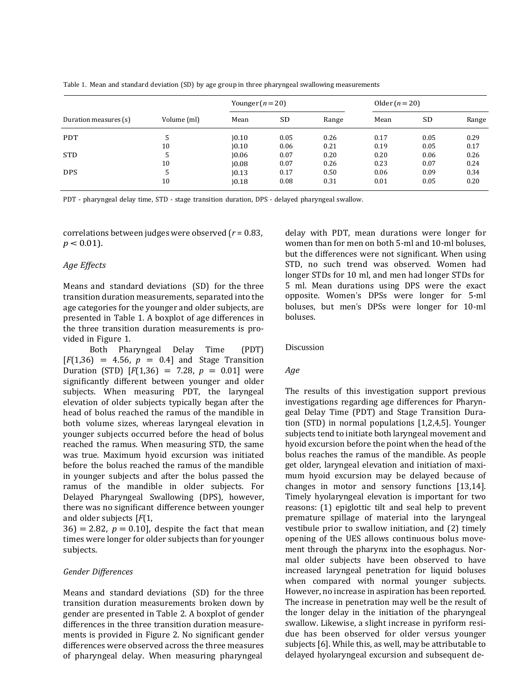|  |  | Table 1. Mean and standard deviation (SD) by age group in three pharyngeal swallowing measurements |
|--|--|----------------------------------------------------------------------------------------------------|
|--|--|----------------------------------------------------------------------------------------------------|

| Duration measures (s) | Volume (ml) | Younger $(n=20)$ |      | Older $(n=20)$ |      |      |       |
|-----------------------|-------------|------------------|------|----------------|------|------|-------|
|                       |             | Mean             | SD   | Range          | Mean | SD   | Range |
| <b>PDT</b>            | 5           | )0.10            | 0.05 | 0.26           | 0.17 | 0.05 | 0.29  |
|                       | 10          | )0.10            | 0.06 | 0.21           | 0.19 | 0.05 | 0.17  |
| <b>STD</b>            | 5           | 0.06             | 0.07 | 0.20           | 0.20 | 0.06 | 0.26  |
|                       | 10          | 0.08             | 0.07 | 0.26           | 0.23 | 0.07 | 0.24  |
| <b>DPS</b>            | 5           | )0.13            | 0.17 | 0.50           | 0.06 | 0.09 | 0.34  |
|                       | 10          | 0.18             | 0.08 | 0.31           | 0.01 | 0.05 | 0.20  |

PDT - pharyngeal delay time, STD - stage transition duration, DPS - delayed pharyngeal swallow.

correlations between judges were observed (*r* = 0.83,  $p < 0.01$ ).

# *Age Effects*

Means and standard deviations (SD) for the three transition duration measurements, separated into the age categories for the younger and older subjects, are presented in Table 1. A boxplot of age differences in the three transition duration measurements is provided in Figure 1.

Both Pharyngeal Delay Time (PDT)  $[F(1,36) = 4.56, p = 0.4]$  and Stage Transition Duration (STD)  $[F(1,36) = 7.28, p = 0.01]$  were significantly different between younger and older subjects. When measuring PDT, the laryngeal elevation of older subjects typically began after the head of bolus reached the ramus of the mandible in both volume sizes, whereas laryngeal elevation in younger subjects occurred before the head of bolus reached the ramus. When measuring STD, the same was true. Maximum hyoid excursion was initiated before the bolus reached the ramus of the mandible in younger subjects and after the bolus passed the ramus of the mandible in older subjects. For Delayed Pharyngeal Swallowing (DPS), however, there was no significant difference between younger and older subjects [*F*(1,

 $36$  = 2.82,  $p = 0.10$ , despite the fact that mean times were longer for older subjects than for younger subjects.

# *Gender Differences*

Means and standard deviations (SD) for the three transition duration measurements broken down by gender are presented in Table 2. A boxplot of gender differences in the three transition duration measurements is provided in Figure 2. No significant gender differences were observed across the three measures of pharyngeal delay. When measuring pharyngeal

delay with PDT, mean durations were longer for women than for men on both 5-ml and 10-ml boluses, but the differences were not significant. When using STD, no such trend was observed. Women had longer STDs for 10 ml, and men had longer STDs for 5 ml. Mean durations using DPS were the exact opposite. Women's DPSs were longer for 5-ml boluses, but men's DPSs were longer for 10-ml boluses.

#### Discussion

## *Age*

The results of this investigation support previous investigations regarding age differences for Pharyngeal Delay Time (PDT) and Stage Transition Duration (STD) in normal populations [1,2,4,5]. Younger subjects tend to initiate both laryngeal movement and hyoid excursion before the point when the head of the bolus reaches the ramus of the mandible. As people get older, laryngeal elevation and initiation of maximum hyoid excursion may be delayed because of changes in motor and sensory functions [13,14]. Timely hyolaryngeal elevation is important for two reasons: (1) epiglottic tilt and seal help to prevent premature spillage of material into the laryngeal vestibule prior to swallow initiation, and (2) timely opening of the UES allows continuous bolus movement through the pharynx into the esophagus. Normal older subjects have been observed to have increased laryngeal penetration for liquid boluses when compared with normal younger subjects. However, no increase in aspiration has been reported. The increase in penetration may well be the result of the longer delay in the initiation of the pharyngeal swallow. Likewise, a slight increase in pyriform residue has been observed for older versus younger subjects [6]. While this, as well, may be attributable to delayed hyolaryngeal excursion and subsequent de-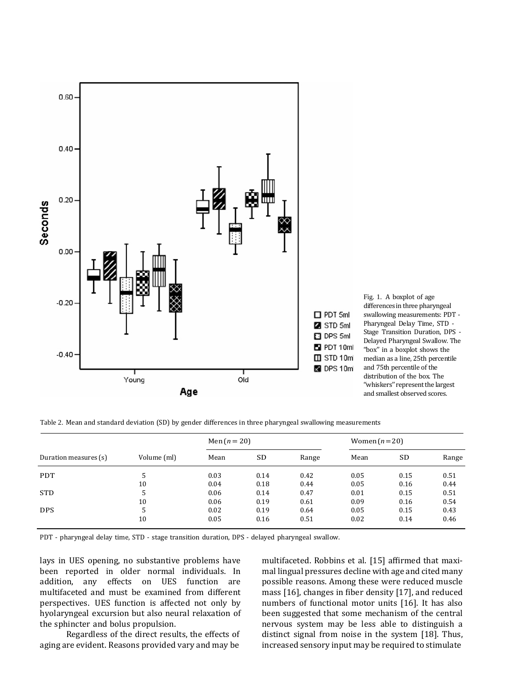

Table 2. Mean and standard deviation (SD) by gender differences in three pharyngeal swallowing measurements

| Duration measures (s) | Volume (ml) | Men $(n = 20)$ |      |       | Women $(n=20)$ |      |       |
|-----------------------|-------------|----------------|------|-------|----------------|------|-------|
|                       |             | Mean           | SD   | Range | Mean           | SD   | Range |
| <b>PDT</b>            | 5           | 0.03           | 0.14 | 0.42  | 0.05           | 0.15 | 0.51  |
|                       | 10          | 0.04           | 0.18 | 0.44  | 0.05           | 0.16 | 0.44  |
| <b>STD</b>            | 5           | 0.06           | 0.14 | 0.47  | 0.01           | 0.15 | 0.51  |
|                       | 10          | 0.06           | 0.19 | 0.61  | 0.09           | 0.16 | 0.54  |
| <b>DPS</b>            | 5           | 0.02           | 0.19 | 0.64  | 0.05           | 0.15 | 0.43  |
|                       | 10          | 0.05           | 0.16 | 0.51  | 0.02           | 0.14 | 0.46  |

PDT - pharyngeal delay time, STD - stage transition duration, DPS - delayed pharyngeal swallow.

lays in UES opening, no substantive problems have been reported in older normal individuals. In addition, any effects on UES function are multifaceted and must be examined from different perspectives. UES function is affected not only by hyolaryngeal excursion but also neural relaxation of the sphincter and bolus propulsion.

Regardless of the direct results, the effects of aging are evident. Reasons provided vary and may be

multifaceted. Robbins et al. [15] affirmed that maximal lingual pressures decline with age and cited many possible reasons. Among these were reduced muscle mass [16], changes in fiber density [17], and reduced numbers of functional motor units [16]. It has also been suggested that some mechanism of the central nervous system may be less able to distinguish a distinct signal from noise in the system [18]. Thus, increased sensory input may be required to stimulate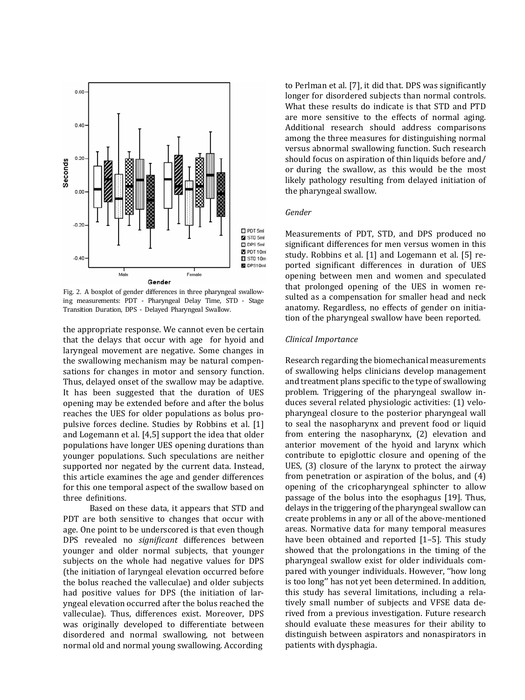

Fig. 2. A boxplot of gender differences in three pharyngeal swallowing measurements: PDT - Pharyngeal Delay Time, STD - Stage Transition Duration, DPS - Delayed Pharyngeal Swallow.

the appropriate response. We cannot even be certain that the delays that occur with age for hyoid and laryngeal movement are negative. Some changes in the swallowing mechanism may be natural compensations for changes in motor and sensory function. Thus, delayed onset of the swallow may be adaptive. It has been suggested that the duration of UES opening may be extended before and after the bolus reaches the UES for older populations as bolus propulsive forces decline. Studies by Robbins et al. [1] and Logemann et al. [4,5] support the idea that older populations have longer UES opening durations than younger populations. Such speculations are neither supported nor negated by the current data. Instead, this article examines the age and gender differences for this one temporal aspect of the swallow based on three definitions.

Based on these data, it appears that STD and PDT are both sensitive to changes that occur with age. One point to be underscored is that even though DPS revealed no *significant* differences between younger and older normal subjects, that younger subjects on the whole had negative values for DPS (the initiation of laryngeal elevation occurred before the bolus reached the valleculae) and older subjects had positive values for DPS (the initiation of laryngeal elevation occurred after the bolus reached the valleculae). Thus, differences exist. Moreover, DPS was originally developed to differentiate between disordered and normal swallowing, not between normal old and normal young swallowing. According

to Perlman et al. [7], it did that. DPS was significantly longer for disordered subjects than normal controls. What these results do indicate is that STD and PTD are more sensitive to the effects of normal aging. Additional research should address comparisons among the three measures for distinguishing normal versus abnormal swallowing function. Such research should focus on aspiration of thin liquids before and/ or during the swallow, as this would be the most likely pathology resulting from delayed initiation of the pharyngeal swallow.

## *Gender*

Measurements of PDT, STD, and DPS produced no significant differences for men versus women in this study. Robbins et al. [1] and Logemann et al. [5] reported significant differences in duration of UES opening between men and women and speculated that prolonged opening of the UES in women resulted as a compensation for smaller head and neck anatomy. Regardless, no effects of gender on initiation of the pharyngeal swallow have been reported.

## *Clinical Importance*

Research regarding the biomechanical measurements of swallowing helps clinicians develop management and treatment plans specific to the type of swallowing problem. Triggering of the pharyngeal swallow induces several related physiologic activities: (1) velopharyngeal closure to the posterior pharyngeal wall to seal the nasopharynx and prevent food or liquid from entering the nasopharynx, (2) elevation and anterior movement of the hyoid and larynx which contribute to epiglottic closure and opening of the UES, (3) closure of the larynx to protect the airway from penetration or aspiration of the bolus, and (4) opening of the cricopharyngeal sphincter to allow passage of the bolus into the esophagus [19]. Thus, delays in the triggering of the pharyngeal swallow can create problems in any or all of the above-mentioned areas. Normative data for many temporal measures have been obtained and reported [1–5]. This study showed that the prolongations in the timing of the pharyngeal swallow exist for older individuals compared with younger individuals. However, ''how long is too long'' has not yet been determined. In addition, this study has several limitations, including a relatively small number of subjects and VFSE data derived from a previous investigation. Future research should evaluate these measures for their ability to distinguish between aspirators and nonaspirators in patients with dysphagia.